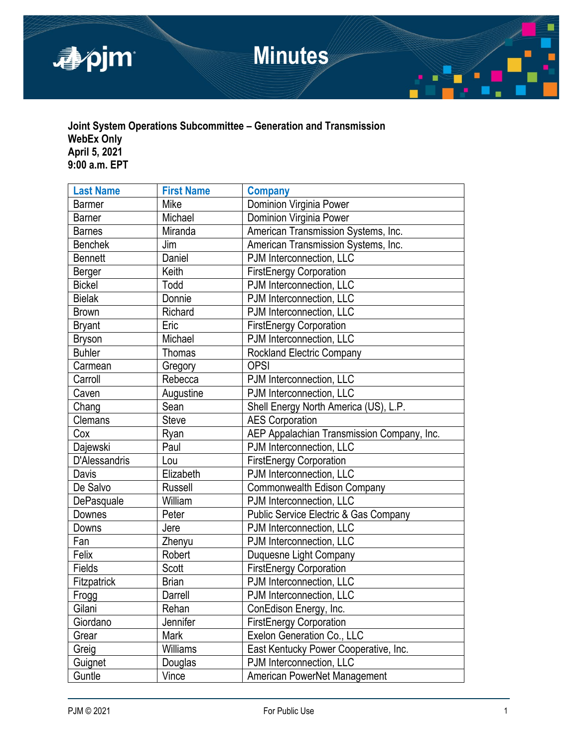

# **Joint System Operations Subcommittee – Generation and Transmission WebEx Only April 5, 2021 9:00 a.m. EPT**

| <b>Last Name</b> | <b>First Name</b> | <b>Company</b>                             |  |
|------------------|-------------------|--------------------------------------------|--|
| <b>Barmer</b>    | Mike              | Dominion Virginia Power                    |  |
| <b>Barner</b>    | Michael           | Dominion Virginia Power                    |  |
| <b>Barnes</b>    | Miranda           | American Transmission Systems, Inc.        |  |
| <b>Benchek</b>   | Jim               | American Transmission Systems, Inc.        |  |
| <b>Bennett</b>   | Daniel            | PJM Interconnection, LLC                   |  |
| Berger           | Keith             | <b>FirstEnergy Corporation</b>             |  |
| <b>Bickel</b>    | Todd              | PJM Interconnection, LLC                   |  |
| <b>Bielak</b>    | Donnie            | PJM Interconnection, LLC                   |  |
| <b>Brown</b>     | Richard           | PJM Interconnection, LLC                   |  |
| <b>Bryant</b>    | Eric              | <b>FirstEnergy Corporation</b>             |  |
| <b>Bryson</b>    | Michael           | PJM Interconnection, LLC                   |  |
| <b>Buhler</b>    | <b>Thomas</b>     | <b>Rockland Electric Company</b>           |  |
| Carmean          | Gregory           | <b>OPSI</b>                                |  |
| Carroll          | Rebecca           | PJM Interconnection, LLC                   |  |
| Caven            | Augustine         | PJM Interconnection, LLC                   |  |
| Chang            | Sean              | Shell Energy North America (US), L.P.      |  |
| Clemans          | <b>Steve</b>      | <b>AES Corporation</b>                     |  |
| Cox              | Ryan              | AEP Appalachian Transmission Company, Inc. |  |
| Dajewski         | Paul              | PJM Interconnection, LLC                   |  |
| D'Alessandris    | Lou               | <b>FirstEnergy Corporation</b>             |  |
| Davis            | Elizabeth         | PJM Interconnection, LLC                   |  |
| De Salvo         | <b>Russell</b>    | Commonwealth Edison Company                |  |
| DePasquale       | William           | PJM Interconnection, LLC                   |  |
| Downes           | Peter             | Public Service Electric & Gas Company      |  |
| Downs            | Jere              | PJM Interconnection, LLC                   |  |
| Fan              | Zhenyu            | PJM Interconnection, LLC                   |  |
| Felix            | Robert            | Duquesne Light Company                     |  |
| Fields           | Scott             | <b>FirstEnergy Corporation</b>             |  |
| Fitzpatrick      | <b>Brian</b>      | PJM Interconnection, LLC                   |  |
| Frogg            | Darrell           | PJM Interconnection, LLC                   |  |
| Gilani           | Rehan             | ConEdison Energy, Inc.                     |  |
| Giordano         | Jennifer          | <b>FirstEnergy Corporation</b>             |  |
| Grear            | Mark              | Exelon Generation Co., LLC                 |  |
| Greig            | Williams          | East Kentucky Power Cooperative, Inc.      |  |
| Guignet          | Douglas           | PJM Interconnection, LLC                   |  |
| Guntle           | Vince             | American PowerNet Management               |  |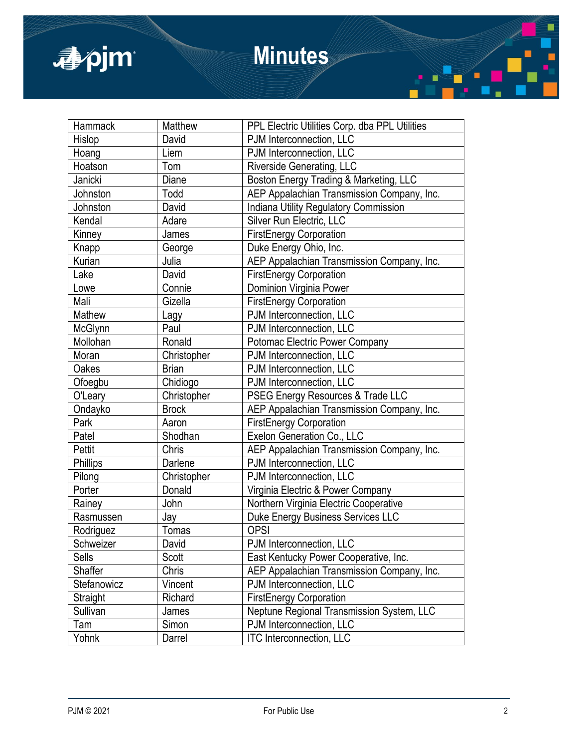

# **Minutes**

| Hammack     | Matthew      | PPL Electric Utilities Corp. dba PPL Utilities |  |
|-------------|--------------|------------------------------------------------|--|
| Hislop      | David        | PJM Interconnection, LLC                       |  |
| Hoang       | Liem         | PJM Interconnection, LLC                       |  |
| Hoatson     | Tom          | Riverside Generating, LLC                      |  |
| Janicki     | Diane        | Boston Energy Trading & Marketing, LLC         |  |
| Johnston    | Todd         | AEP Appalachian Transmission Company, Inc.     |  |
| Johnston    | David        | <b>Indiana Utility Regulatory Commission</b>   |  |
| Kendal      | Adare        | Silver Run Electric, LLC                       |  |
| Kinney      | James        | <b>FirstEnergy Corporation</b>                 |  |
| Knapp       | George       | Duke Energy Ohio, Inc.                         |  |
| Kurian      | Julia        | AEP Appalachian Transmission Company, Inc.     |  |
| Lake        | David        | <b>FirstEnergy Corporation</b>                 |  |
| Lowe        | Connie       | Dominion Virginia Power                        |  |
| Mali        | Gizella      | <b>FirstEnergy Corporation</b>                 |  |
| Mathew      | Lagy         | PJM Interconnection, LLC                       |  |
| McGlynn     | Paul         | PJM Interconnection, LLC                       |  |
| Mollohan    | Ronald       | Potomac Electric Power Company                 |  |
| Moran       | Christopher  | PJM Interconnection, LLC                       |  |
| Oakes       | <b>Brian</b> | PJM Interconnection, LLC                       |  |
| Ofoegbu     | Chidiogo     | PJM Interconnection, LLC                       |  |
| O'Leary     | Christopher  | PSEG Energy Resources & Trade LLC              |  |
| Ondayko     | <b>Brock</b> | AEP Appalachian Transmission Company, Inc.     |  |
| Park        | Aaron        | <b>FirstEnergy Corporation</b>                 |  |
| Patel       | Shodhan      | Exelon Generation Co., LLC                     |  |
| Pettit      | Chris        | AEP Appalachian Transmission Company, Inc.     |  |
| Phillips    | Darlene      | PJM Interconnection, LLC                       |  |
| Pilong      | Christopher  | PJM Interconnection, LLC                       |  |
| Porter      | Donald       | Virginia Electric & Power Company              |  |
| Rainey      | John         | Northern Virginia Electric Cooperative         |  |
| Rasmussen   | Jay          | Duke Energy Business Services LLC              |  |
| Rodriguez   | Tomas        | <b>OPSI</b>                                    |  |
| Schweizer   | David        | PJM Interconnection, LLC                       |  |
| Sells       | Scott        | East Kentucky Power Cooperative, Inc.          |  |
| Shaffer     | Chris        | AEP Appalachian Transmission Company, Inc.     |  |
| Stefanowicz | Vincent      | PJM Interconnection, LLC                       |  |
| Straight    | Richard      | <b>FirstEnergy Corporation</b>                 |  |
| Sullivan    | James        | Neptune Regional Transmission System, LLC      |  |
| Tam         | Simon        | PJM Interconnection, LLC                       |  |
| Yohnk       | Darrel       | <b>ITC Interconnection, LLC</b>                |  |
|             |              |                                                |  |

π

 $\blacksquare$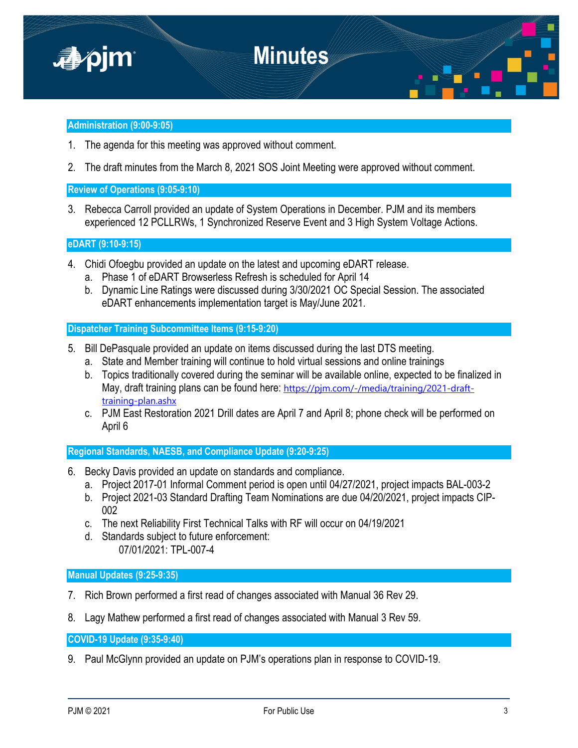

## **Administration (9:00-9:05)**

- 1. The agenda for this meeting was approved without comment.
- 2. The draft minutes from the March 8, 2021 SOS Joint Meeting were approved without comment.

**Review of Operations (9:05-9:10)**

3. Rebecca Carroll provided an update of System Operations in December. PJM and its members experienced 12 PCLLRWs, 1 Synchronized Reserve Event and 3 High System Voltage Actions.

## **eDART (9:10-9:15)**

- 4. Chidi Ofoegbu provided an update on the latest and upcoming eDART release.
	- a. Phase 1 of eDART Browserless Refresh is scheduled for April 14
	- b. Dynamic Line Ratings were discussed during 3/30/2021 OC Special Session. The associated eDART enhancements implementation target is May/June 2021.

**Dispatcher Training Subcommittee Items (9:15-9:20)**

- 5. Bill DePasquale provided an update on items discussed during the last DTS meeting.
	- a. State and Member training will continue to hold virtual sessions and online trainings
	- b. Topics traditionally covered during the seminar will be available online, expected to be finalized in May, draft training plans can be found here: [https://pjm.com/-/media/training/2021-draft](https://pjm.com/-/media/training/2021-draft-training-plan.ashx)[training-plan.ashx](https://pjm.com/-/media/training/2021-draft-training-plan.ashx)
	- c. PJM East Restoration 2021 Drill dates are April 7 and April 8; phone check will be performed on April 6

**Regional Standards, NAESB, and Compliance Update (9:20-9:25)**

- 6. Becky Davis provided an update on standards and compliance.
	- a. Project 2017-01 Informal Comment period is open until 04/27/2021, project impacts BAL-003-2
	- b. Project 2021-03 Standard Drafting Team Nominations are due 04/20/2021, project impacts CIP-002
	- c. The next Reliability First Technical Talks with RF will occur on 04/19/2021
	- d. Standards subject to future enforcement: 07/01/2021: TPL-007-4

**Manual Updates (9:25-9:35)**

- 7. Rich Brown performed a first read of changes associated with Manual 36 Rev 29.
- 8. Lagy Mathew performed a first read of changes associated with Manual 3 Rev 59.

**COVID-19 Update (9:35-9:40)**

9. Paul McGlynn provided an update on PJM's operations plan in response to COVID-19.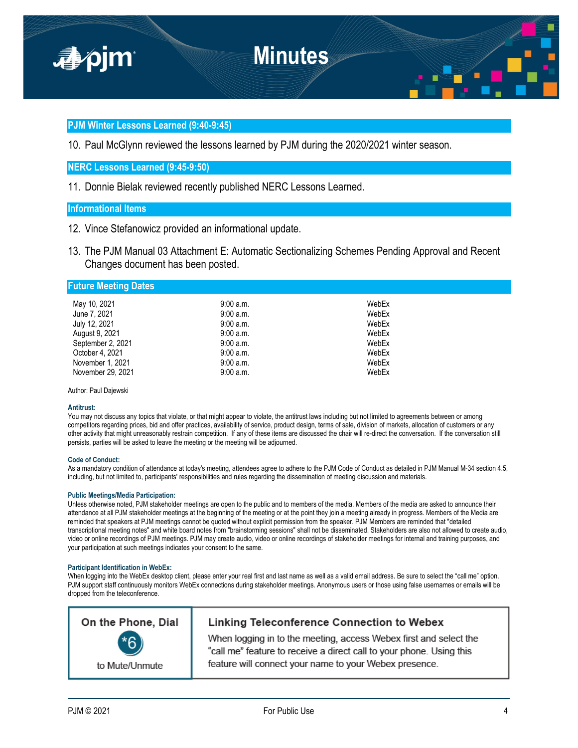

## **PJM Winter Lessons Learned (9:40-9:45)**

10. Paul McGlynn reviewed the lessons learned by PJM during the 2020/2021 winter season.

## **NERC Lessons Learned (9:45-9:50)**

11. Donnie Bielak reviewed recently published NERC Lessons Learned.

# **Informational Items**

- 12. Vince Stefanowicz provided an informational update.
- 13. The PJM Manual 03 Attachment E: Automatic Sectionalizing Schemes Pending Approval and Recent Changes document has been posted.

### **Future Meeting Dates**

| May 10, 2021      | 9:00 a.m.   | WebEx |
|-------------------|-------------|-------|
| June 7, 2021      | 9:00 a.m.   | WebEx |
| July 12, 2021     | $9:00$ a.m. | WebEx |
| August 9, 2021    | $9:00$ a.m. | WebEx |
| September 2, 2021 | $9:00$ a.m. | WebEx |
| October 4, 2021   | $9:00$ a.m. | WebEx |
| November 1, 2021  | $9:00$ a.m. | WebEx |
| November 29, 2021 | $9:00$ a.m. | WebEx |

Author: Paul Dajewski

#### **Antitrust:**

You may not discuss any topics that violate, or that might appear to violate, the antitrust laws including but not limited to agreements between or among competitors regarding prices, bid and offer practices, availability of service, product design, terms of sale, division of markets, allocation of customers or any other activity that might unreasonably restrain competition. If any of these items are discussed the chair will re-direct the conversation. If the conversation still persists, parties will be asked to leave the meeting or the meeting will be adjourned.

#### **Code of Conduct:**

As a mandatory condition of attendance at today's meeting, attendees agree to adhere to the PJM Code of Conduct as detailed in PJM Manual M-34 section 4.5, including, but not limited to, participants' responsibilities and rules regarding the dissemination of meeting discussion and materials.

#### **Public Meetings/Media Participation:**

Unless otherwise noted, PJM stakeholder meetings are open to the public and to members of the media. Members of the media are asked to announce their attendance at all PJM stakeholder meetings at the beginning of the meeting or at the point they join a meeting already in progress. Members of the Media are reminded that speakers at PJM meetings cannot be quoted without explicit permission from the speaker. PJM Members are reminded that "detailed transcriptional meeting notes" and white board notes from "brainstorming sessions" shall not be disseminated. Stakeholders are also not allowed to create audio, video or online recordings of PJM meetings. PJM may create audio, video or online recordings of stakeholder meetings for internal and training purposes, and your participation at such meetings indicates your consent to the same.

#### **Participant Identification in WebEx:**

When logging into the WebEx desktop client, please enter your real first and last name as well as a valid email address. Be sure to select the "call me" option. PJM support staff continuously monitors WebEx connections during stakeholder meetings. Anonymous users or those using false usernames or emails will be dropped from the teleconference.